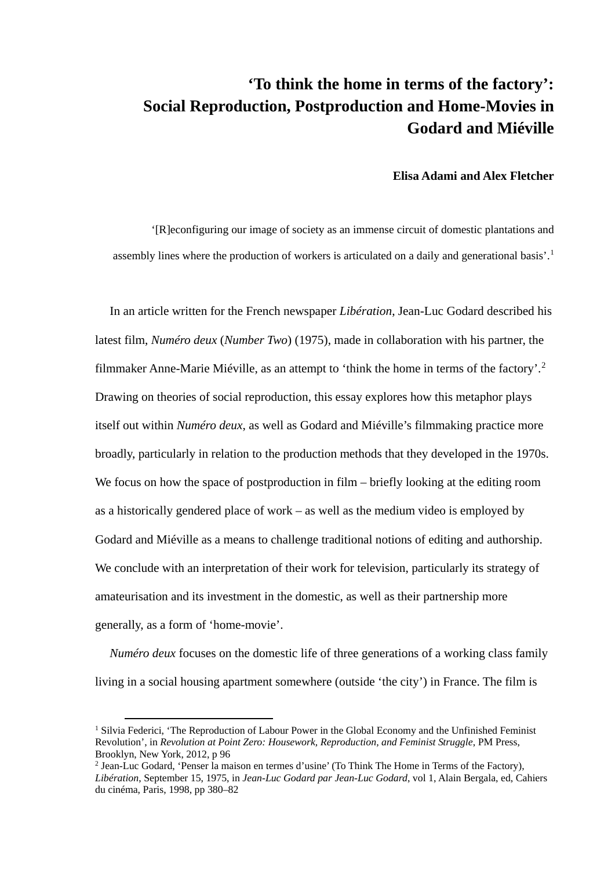# **'To think the home in terms of the factory': Social Reproduction, Postproduction and Home-Movies in Godard and Miéville**

# **Elisa Adami and Alex Fletcher**

'[R]econfiguring our image of society as an immense circuit of domestic plantations and assembly lines where the production of workers is articulated on a daily and generational basis'.[1](#page-0-0)

In an article written for the French newspaper *Libération*, Jean-Luc Godard described his latest film, *Numéro deux* (*Number Two*) (1975), made in collaboration with his partner, the filmmaker Anne-Marie Miéville, as an attempt to 'think the home in terms of the factory'.[2](#page-0-1) Drawing on theories of social reproduction, this essay explores how this metaphor plays itself out within *Numéro deux*, as well as Godard and Miéville's filmmaking practice more broadly, particularly in relation to the production methods that they developed in the 1970s. We focus on how the space of postproduction in film – briefly looking at the editing room as a historically gendered place of work – as well as the medium video is employed by Godard and Miéville as a means to challenge traditional notions of editing and authorship. We conclude with an interpretation of their work for television, particularly its strategy of amateurisation and its investment in the domestic, as well as their partnership more generally, as a form of 'home-movie'.

*Numéro deux* focuses on the domestic life of three generations of a working class family living in a social housing apartment somewhere (outside 'the city') in France. The film is

<span id="page-0-0"></span><sup>&</sup>lt;sup>1</sup> Silvia Federici, 'The Reproduction of Labour Power in the Global Economy and the Unfinished Feminist Revolution', in *Revolution at Point Zero: Housework, Reproduction, and Feminist Struggle*, PM Press, Brooklyn, New York, 2012, p 96

<span id="page-0-1"></span><sup>2</sup> Jean-Luc Godard, 'Penser la maison en termes d'usine' (To Think The Home in Terms of the Factory), *Libération*, September 15, 1975, in *Jean-Luc Godard par Jean-Luc Godard*, vol 1, Alain Bergala, ed, Cahiers du cinéma, Paris, 1998, pp 380–82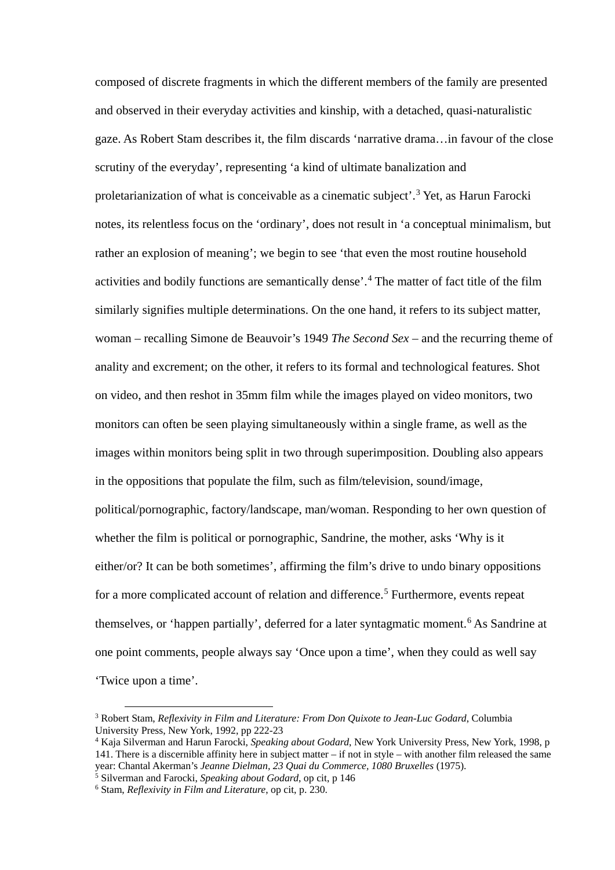composed of discrete fragments in which the different members of the family are presented and observed in their everyday activities and kinship, with a detached, quasi-naturalistic gaze. As Robert Stam describes it, the film discards 'narrative drama…in favour of the close scrutiny of the everyday', representing 'a kind of ultimate banalization and proletarianization of what is conceivable as a cinematic subject'.<sup>[3](#page-1-0)</sup> Yet, as Harun Farocki notes, its relentless focus on the 'ordinary', does not result in 'a conceptual minimalism, but rather an explosion of meaning'; we begin to see 'that even the most routine household activities and bodily functions are semantically dense'.[4](#page-1-1) The matter of fact title of the film similarly signifies multiple determinations. On the one hand, it refers to its subject matter, woman – recalling Simone de Beauvoir's 1949 *The Second Sex* – and the recurring theme of anality and excrement; on the other, it refers to its formal and technological features. Shot on video, and then reshot in 35mm film while the images played on video monitors, two monitors can often be seen playing simultaneously within a single frame, as well as the images within monitors being split in two through superimposition. Doubling also appears in the oppositions that populate the film, such as film/television, sound/image, political/pornographic, factory/landscape, man/woman. Responding to her own question of whether the film is political or pornographic, Sandrine, the mother, asks 'Why is it either/or? It can be both sometimes', affirming the film's drive to undo binary oppositions for a more complicated account of relation and difference.<sup>[5](#page-1-2)</sup> Furthermore, events repeat themselves, or 'happen partially', deferred for a later syntagmatic moment. [6](#page-1-3) As Sandrine at one point comments, people always say 'Once upon a time', when they could as well say 'Twice upon a time'.

<span id="page-1-0"></span> <sup>3</sup> Robert Stam, *Reflexivity in Film and Literature: From Don Quixote to Jean-Luc Godard*, Columbia University Press, New York, 1992, pp 222-23

<span id="page-1-1"></span><sup>4</sup> Kaja Silverman and Harun Farocki, *Speaking about Godard*, New York University Press, New York, 1998, p 141. There is a discernible affinity here in subject matter – if not in style – with another film released the same year: Chantal Akerman's *Jeanne Dielman, 23 Quai du Commerce, 1080 Bruxelles* (1975).

<span id="page-1-2"></span><sup>5</sup> Silverman and Farocki, *Speaking about Godard*, op cit, p 146

<span id="page-1-3"></span><sup>6</sup> Stam, *Reflexivity in Film and Literature*, op cit, p. 230.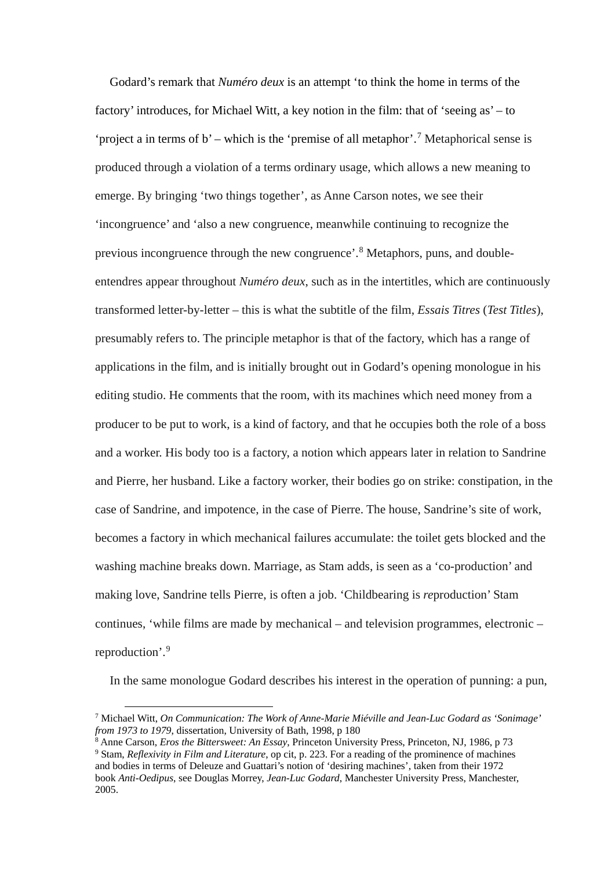Godard's remark that *Numéro deux* is an attempt 'to think the home in terms of the factory' introduces, for Michael Witt, a key notion in the film: that of 'seeing as' – to 'project a in terms of b' – which is the 'premise of all metaphor'.<sup>[7](#page-2-0)</sup> Metaphorical sense is produced through a violation of a terms ordinary usage, which allows a new meaning to emerge. By bringing 'two things together', as Anne Carson notes, we see their 'incongruence' and 'also a new congruence, meanwhile continuing to recognize the previous incongruence through the new congruence'.[8](#page-2-1) Metaphors, puns, and doubleentendres appear throughout *Numéro deux*, such as in the intertitles, which are continuously transformed letter-by-letter – this is what the subtitle of the film, *Essais Titres* (*Test Titles*), presumably refers to. The principle metaphor is that of the factory, which has a range of applications in the film, and is initially brought out in Godard's opening monologue in his editing studio. He comments that the room, with its machines which need money from a producer to be put to work, is a kind of factory, and that he occupies both the role of a boss and a worker. His body too is a factory, a notion which appears later in relation to Sandrine and Pierre, her husband. Like a factory worker, their bodies go on strike: constipation, in the case of Sandrine, and impotence, in the case of Pierre. The house, Sandrine's site of work, becomes a factory in which mechanical failures accumulate: the toilet gets blocked and the washing machine breaks down. Marriage, as Stam adds, is seen as a 'co-production' and making love, Sandrine tells Pierre, is often a job. 'Childbearing is *re*production' Stam continues, 'while films are made by mechanical – and television programmes, electronic – reproduction'. [9](#page-2-2)

In the same monologue Godard describes his interest in the operation of punning: a pun,

<span id="page-2-0"></span> <sup>7</sup> Michael Witt, *On Communication: The Work of Anne-Marie Miéville and Jean-Luc Godard as 'Sonimage' from 1973 to 1979*, dissertation, University of Bath, 1998, p 180

<span id="page-2-1"></span><sup>8</sup> Anne Carson, *Eros the Bittersweet: An Essay*, Princeton University Press, Princeton, NJ, 1986, p 73 <sup>9</sup> Stam, *Reflexivity in Film and Literature*, op cit, p. 223. For a reading of the prominence of machines

<span id="page-2-2"></span>and bodies in terms of Deleuze and Guattari's notion of 'desiring machines', taken from their 1972 book *Anti-Oedipus*, see Douglas Morrey, *Jean-Luc Godard*, Manchester University Press, Manchester, 2005.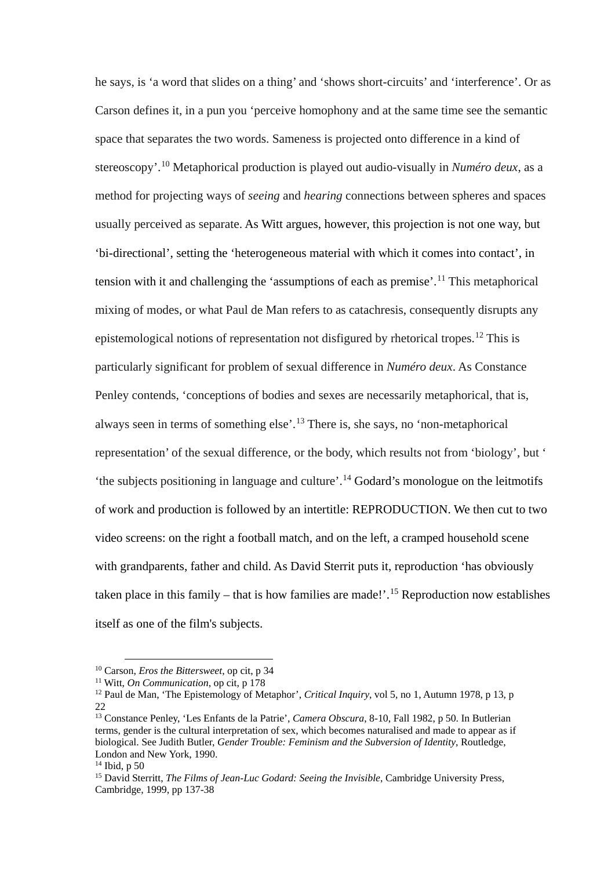he says, is 'a word that slides on a thing' and 'shows short-circuits' and 'interference'. Or as Carson defines it, in a pun you 'perceive homophony and at the same time see the semantic space that separates the two words. Sameness is projected onto difference in a kind of stereoscopy'.[10](#page-3-0) Metaphorical production is played out audio-visually in *Numéro deux*, as a method for projecting ways of *seeing* and *hearing* connections between spheres and spaces usually perceived as separate. As Witt argues, however, this projection is not one way, but 'bi-directional', setting the 'heterogeneous material with which it comes into contact', in tension with it and challenging the 'assumptions of each as premise'. [11](#page-3-1) This metaphorical mixing of modes, or what Paul de Man refers to as catachresis, consequently disrupts any epistemological notions of representation not disfigured by rhetorical tropes.<sup>[12](#page-3-2)</sup> This is particularly significant for problem of sexual difference in *Numéro deux*. As Constance Penley contends, 'conceptions of bodies and sexes are necessarily metaphorical, that is, always seen in terms of something else'.[13](#page-3-3) There is, she says, no 'non-metaphorical representation' of the sexual difference, or the body, which results not from 'biology', but ' 'the subjects positioning in language and culture'.<sup>[14](#page-3-4)</sup> Godard's monologue on the leitmotifs of work and production is followed by an intertitle: REPRODUCTION. We then cut to two video screens: on the right a football match, and on the left, a cramped household scene with grandparents, father and child. As David Sterrit puts it, reproduction 'has obviously taken place in this family – that is how families are made!'. [15](#page-3-5) Reproduction now establishes itself as one of the film's subjects.

<span id="page-3-0"></span> <sup>10</sup> Carson, *Eros the Bittersweet*, op cit, p 34

<span id="page-3-1"></span><sup>11</sup> Witt, *On Communication*, op cit, p 178

<span id="page-3-2"></span><sup>&</sup>lt;sup>12</sup> Paul de Man, 'The Epistemology of Metaphor', *Critical Inquiry*, vol 5, no 1, Autumn 1978, p 13, p 22

<span id="page-3-3"></span><sup>13</sup> Constance Penley, 'Les Enfants de la Patrie', *Camera Obscura*, 8-10, Fall 1982, p 50. In Butlerian terms, gender is the cultural interpretation of sex, which becomes naturalised and made to appear as if biological. See Judith Butler, *Gender Trouble: Feminism and the Subversion of Identity*, Routledge, London and New York, 1990.

<span id="page-3-4"></span> $14$  Ibid, p 50

<span id="page-3-5"></span><sup>15</sup> David Sterritt, *The Films of Jean-Luc Godard: Seeing the Invisible*, Cambridge University Press, Cambridge, 1999, pp 137-38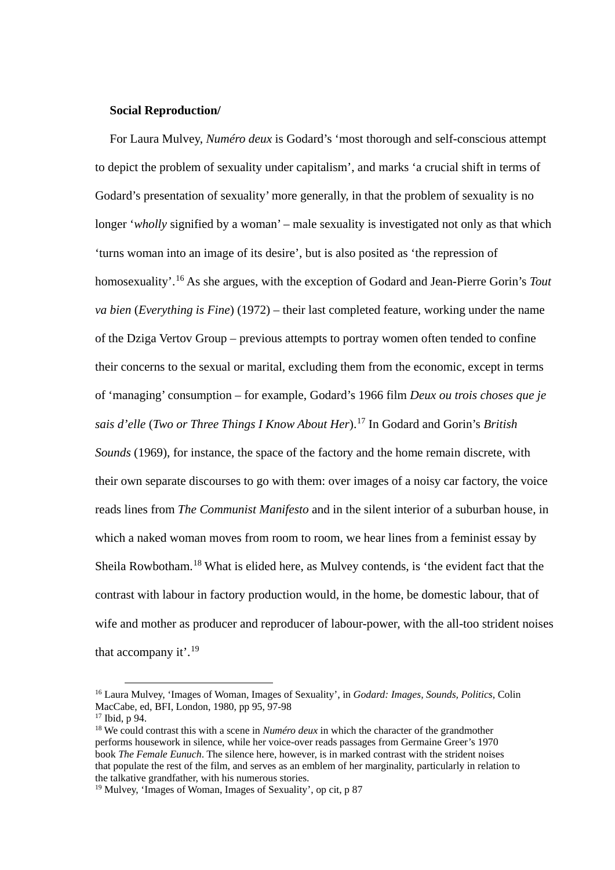## **Social Reproduction/**

For Laura Mulvey, *Numéro deux* is Godard's 'most thorough and self-conscious attempt to depict the problem of sexuality under capitalism', and marks 'a crucial shift in terms of Godard's presentation of sexuality' more generally, in that the problem of sexuality is no longer '*wholly* signified by a woman' – male sexuality is investigated not only as that which 'turns woman into an image of its desire', but is also posited as 'the repression of homosexuality'. [16](#page-4-0) As she argues, with the exception of Godard and Jean-Pierre Gorin's *Tout va bien* (*Everything is Fine*) (1972) – their last completed feature, working under the name of the Dziga Vertov Group – previous attempts to portray women often tended to confine their concerns to the sexual or marital, excluding them from the economic, except in terms of 'managing' consumption – for example, Godard's 1966 film *Deux ou trois choses que je sais d'elle* (*Two or Three Things I Know About Her*).[17](#page-4-1) In Godard and Gorin's *British Sounds* (1969), for instance, the space of the factory and the home remain discrete, with their own separate discourses to go with them: over images of a noisy car factory, the voice reads lines from *The Communist Manifesto* and in the silent interior of a suburban house, in which a naked woman moves from room to room, we hear lines from a feminist essay by Sheila Rowbotham.[18](#page-4-2) What is elided here, as Mulvey contends, is 'the evident fact that the contrast with labour in factory production would, in the home, be domestic labour, that of wife and mother as producer and reproducer of labour-power, with the all-too strident noises that accompany it'.<sup>[19](#page-4-3)</sup>

<span id="page-4-0"></span> <sup>16</sup> Laura Mulvey, 'Images of Woman, Images of Sexuality', in *Godard: Images, Sounds, Politics*, Colin MacCabe, ed, BFI, London, 1980, pp 95, 97-98

<span id="page-4-2"></span><span id="page-4-1"></span><sup>&</sup>lt;sup>18</sup> We could contrast this with a scene in *Numéro deux* in which the character of the grandmother performs housework in silence, while her voice-over reads passages from Germaine Greer's 1970 book *The Female Eunuch*. The silence here, however, is in marked contrast with the strident noises that populate the rest of the film, and serves as an emblem of her marginality, particularly in relation to the talkative grandfather, with his numerous stories.

<span id="page-4-3"></span><sup>19</sup> Mulvey, 'Images of Woman, Images of Sexuality', op cit, p 87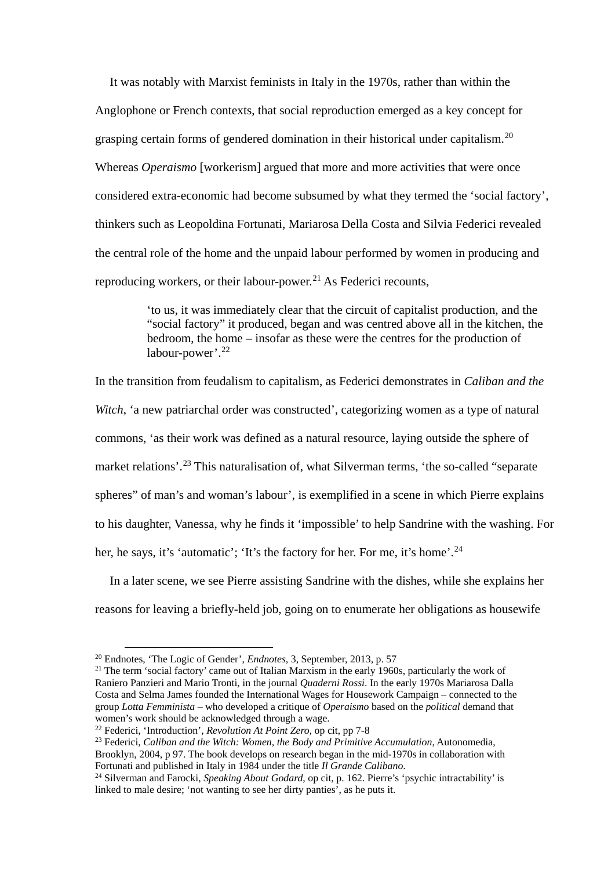It was notably with Marxist feminists in Italy in the 1970s, rather than within the Anglophone or French contexts, that social reproduction emerged as a key concept for grasping certain forms of gendered domination in their historical under capitalism.<sup>[20](#page-5-0)</sup> Whereas *Operaismo* [workerism] argued that more and more activities that were once considered extra-economic had become subsumed by what they termed the 'social factory', thinkers such as Leopoldina Fortunati, Mariarosa Della Costa and Silvia Federici revealed the central role of the home and the unpaid labour performed by women in producing and reproducing workers, or their labour-power.<sup>[21](#page-5-1)</sup> As Federici recounts,

> 'to us, it was immediately clear that the circuit of capitalist production, and the "social factory" it produced, began and was centred above all in the kitchen, the bedroom, the home – insofar as these were the centres for the production of labour-power'.<sup>[22](#page-5-2)</sup>

In the transition from feudalism to capitalism, as Federici demonstrates in *Caliban and the Witch*, 'a new patriarchal order was constructed', categorizing women as a type of natural commons, 'as their work was defined as a natural resource, laying outside the sphere of market relations'.<sup>[23](#page-5-3)</sup> This naturalisation of, what Silverman terms, 'the so-called "separate spheres" of man's and woman's labour', is exemplified in a scene in which Pierre explains to his daughter, Vanessa, why he finds it 'impossible' to help Sandrine with the washing. For her, he says, it's 'automatic'; 'It's the factory for her. For me, it's home'.<sup>[24](#page-5-4)</sup>

In a later scene, we see Pierre assisting Sandrine with the dishes, while she explains her reasons for leaving a briefly-held job, going on to enumerate her obligations as housewife

<span id="page-5-0"></span> <sup>20</sup> Endnotes, 'The Logic of Gender', *Endnotes*, 3, September, 2013, p. 57

<span id="page-5-1"></span><sup>&</sup>lt;sup>21</sup> The term 'social factory' came out of Italian Marxism in the early 1960s, particularly the work of Raniero Panzieri and Mario Tronti, in the journal *Quaderni Rossi*. In the early 1970s Mariarosa Dalla Costa and Selma James founded the International Wages for Housework Campaign – connected to the group *Lotta Femminista* – who developed a critique of *Operaismo* based on the *political* demand that women's work should be acknowledged through a wage.

<span id="page-5-2"></span><sup>22</sup> Federici, 'Introduction', *Revolution At Point Zero*, op cit, pp 7-8

<span id="page-5-3"></span><sup>23</sup> Federici, *Caliban and the Witch: Women, the Body and Primitive Accumulation*, Autonomedia, Brooklyn, 2004, p 97. The book develops on research began in the mid-1970s in collaboration with Fortunati and published in Italy in 1984 under the title *Il Grande Calibano*.

<span id="page-5-4"></span><sup>24</sup> Silverman and Farocki, *Speaking About Godard*, op cit, p. 162. Pierre's 'psychic intractability' is linked to male desire; 'not wanting to see her dirty panties', as he puts it.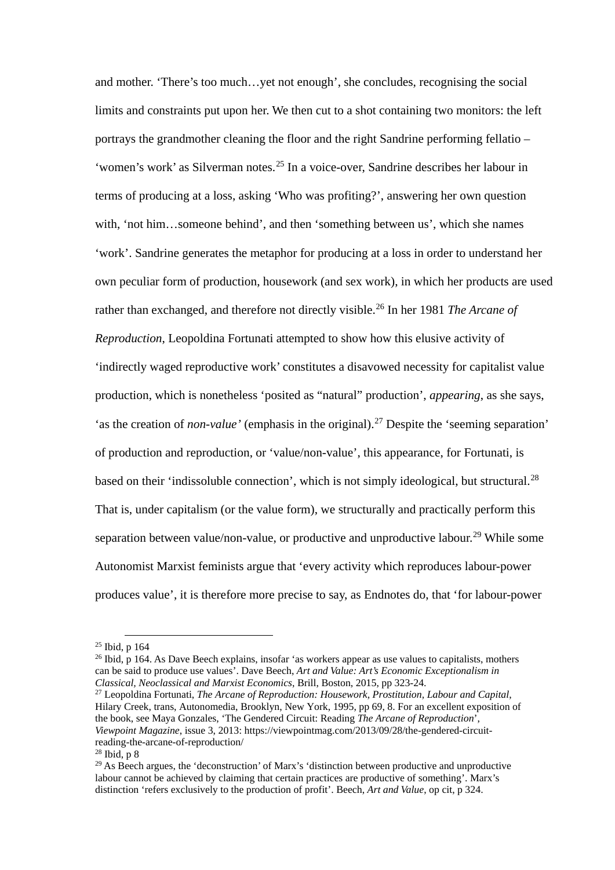and mother. 'There's too much…yet not enough', she concludes, recognising the social limits and constraints put upon her. We then cut to a shot containing two monitors: the left portrays the grandmother cleaning the floor and the right Sandrine performing fellatio – 'women's work' as Silverman notes. [25](#page-6-0) In a voice-over, Sandrine describes her labour in terms of producing at a loss, asking 'Who was profiting?', answering her own question with, 'not him…someone behind', and then 'something between us', which she names 'work'. Sandrine generates the metaphor for producing at a loss in order to understand her own peculiar form of production, housework (and sex work), in which her products are used rather than exchanged, and therefore not directly visible.[26](#page-6-1) In her 1981 *The Arcane of Reproduction*, Leopoldina Fortunati attempted to show how this elusive activity of 'indirectly waged reproductive work' constitutes a disavowed necessity for capitalist value production, which is nonetheless 'posited as "natural" production', *appearing*, as she says, 'as the creation of *non-value'* (emphasis in the original). [27](#page-6-2) Despite the 'seeming separation' of production and reproduction, or 'value/non-value', this appearance, for Fortunati, is based on their 'indissoluble connection', which is not simply ideological, but structural.<sup>[28](#page-6-3)</sup> That is, under capitalism (or the value form), we structurally and practically perform this separation between value/non-value, or productive and unproductive labour.<sup>[29](#page-6-4)</sup> While some Autonomist Marxist feminists argue that 'every activity which reproduces labour-power produces value', it is therefore more precise to say, as Endnotes do, that 'for labour-power

<span id="page-6-0"></span> $25$  Ibid, p 164

<span id="page-6-1"></span><sup>&</sup>lt;sup>26</sup> Ibid, p 164. As Dave Beech explains, insofar 'as workers appear as use values to capitalists, mothers can be said to produce use values'. Dave Beech, *Art and Value: Art's Economic Exceptionalism in Classical, Neoclassical and Marxist Economics*, Brill, Boston, 2015, pp 323-24.

<span id="page-6-2"></span><sup>27</sup> Leopoldina Fortunati, *The Arcane of Reproduction: Housework, Prostitution, Labour and Capital*, Hilary Creek, trans, Autonomedia, Brooklyn, New York, 1995, pp 69, 8. For an excellent exposition of the book, see Maya Gonzales, 'The Gendered Circuit: Reading *The Arcane of Reproduction*', *Viewpoint Magazine*, issue 3, 2013: https://viewpointmag.com/2013/09/28/the-gendered-circuitreading-the-arcane-of-reproduction/

<span id="page-6-4"></span><span id="page-6-3"></span> $28$  Ibid, p 8

<sup>&</sup>lt;sup>29</sup> As Beech argues, the 'deconstruction' of Marx's 'distinction between productive and unproductive labour cannot be achieved by claiming that certain practices are productive of something'. Marx's distinction 'refers exclusively to the production of profit'. Beech, *Art and Value*, op cit, p 324.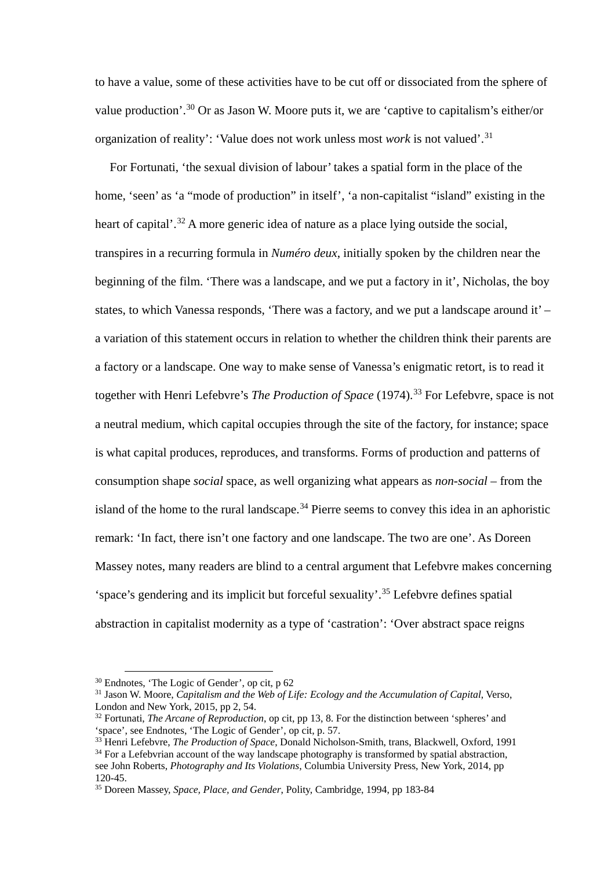to have a value, some of these activities have to be cut off or dissociated from the sphere of value production'.[30](#page-7-0) Or as Jason W. Moore puts it, we are 'captive to capitalism's either/or organization of reality': 'Value does not work unless most *work* is not valued'.[31](#page-7-1)

For Fortunati, 'the sexual division of labour' takes a spatial form in the place of the home, 'seen' as 'a "mode of production" in itself', 'a non-capitalist "island" existing in the heart of capital'.<sup>[32](#page-7-2)</sup> A more generic idea of nature as a place lying outside the social, transpires in a recurring formula in *Numéro deux*, initially spoken by the children near the beginning of the film. 'There was a landscape, and we put a factory in it', Nicholas, the boy states, to which Vanessa responds, 'There was a factory, and we put a landscape around it' – a variation of this statement occurs in relation to whether the children think their parents are a factory or a landscape. One way to make sense of Vanessa's enigmatic retort, is to read it together with Henri Lefebvre's *The Production of Space* (1974).<sup>[33](#page-7-3)</sup> For Lefebvre, space is not a neutral medium, which capital occupies through the site of the factory, for instance; space is what capital produces, reproduces, and transforms. Forms of production and patterns of consumption shape *social* space, as well organizing what appears as *non-social* – from the island of the home to the rural landscape.<sup>[34](#page-7-4)</sup> Pierre seems to convey this idea in an aphoristic remark: 'In fact, there isn't one factory and one landscape. The two are one'. As Doreen Massey notes, many readers are blind to a central argument that Lefebvre makes concerning 'space's gendering and its implicit but forceful sexuality'.[35](#page-7-5) Lefebvre defines spatial abstraction in capitalist modernity as a type of 'castration': 'Over abstract space reigns

<span id="page-7-0"></span> <sup>30</sup> Endnotes, 'The Logic of Gender', op cit, p 62

<span id="page-7-1"></span><sup>31</sup> Jason W. Moore, *Capitalism and the Web of Life: Ecology and the Accumulation of Capital*, Verso, London and New York, 2015, pp 2, 54.

<span id="page-7-2"></span><sup>32</sup> Fortunati, *The Arcane of Reproduction*, op cit, pp 13, 8. For the distinction between 'spheres' and 'space', see Endnotes, 'The Logic of Gender', op cit, p. 57.

<span id="page-7-3"></span><sup>33</sup> Henri Lefebvre, *The Production of Space*, Donald Nicholson-Smith, trans, Blackwell, Oxford, 1991

<span id="page-7-4"></span> $34$  For a Lefebvrian account of the way landscape photography is transformed by spatial abstraction. see John Roberts, *Photography and Its Violations*, Columbia University Press, New York, 2014, pp 120-45.

<span id="page-7-5"></span><sup>35</sup> Doreen Massey, *Space, Place, and Gender*, Polity, Cambridge, 1994, pp 183-84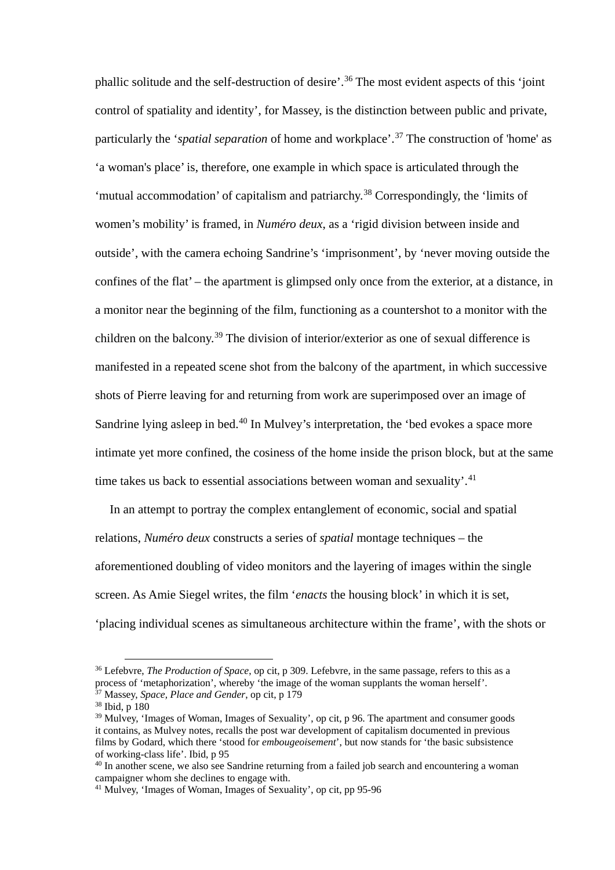phallic solitude and the self-destruction of desire'.[36](#page-8-0) The most evident aspects of this 'joint control of spatiality and identity', for Massey, is the distinction between public and private, particularly the '*spatial separation* of home and workplace'. [37](#page-8-1) The construction of 'home' as 'a woman's place' is, therefore, one example in which space is articulated through the 'mutual accommodation' of capitalism and patriarchy. [38](#page-8-2) Correspondingly, the 'limits of women's mobility' is framed, in *Numéro deux*, as a 'rigid division between inside and outside', with the camera echoing Sandrine's 'imprisonment', by 'never moving outside the confines of the flat' – the apartment is glimpsed only once from the exterior, at a distance, in a monitor near the beginning of the film, functioning as a countershot to a monitor with the children on the balcony.[39](#page-8-3) The division of interior/exterior as one of sexual difference is manifested in a repeated scene shot from the balcony of the apartment, in which successive shots of Pierre leaving for and returning from work are superimposed over an image of Sandrine lying asleep in bed.<sup>[40](#page-8-4)</sup> In Mulvey's interpretation, the 'bed evokes a space more intimate yet more confined, the cosiness of the home inside the prison block, but at the same time takes us back to essential associations between woman and sexuality'.<sup>[41](#page-8-5)</sup>

In an attempt to portray the complex entanglement of economic, social and spatial relations, *Numéro deux* constructs a series of *spatial* montage techniques – the aforementioned doubling of video monitors and the layering of images within the single screen. As Amie Siegel writes, the film '*enacts* the housing block' in which it is set, 'placing individual scenes as simultaneous architecture within the frame', with the shots or

<span id="page-8-0"></span> <sup>36</sup> Lefebvre, *The Production of Space*, op cit, p 309. Lefebvre, in the same passage, refers to this as a process of 'metaphorization', whereby 'the image of the woman supplants the woman herself'.

<span id="page-8-1"></span><sup>37</sup> Massey, *Space, Place and Gender*, op cit, p 179

<span id="page-8-2"></span><sup>38</sup> Ibid, p 180

<span id="page-8-3"></span><sup>&</sup>lt;sup>39</sup> Mulvey, 'Images of Woman, Images of Sexuality', op cit, p 96. The apartment and consumer goods it contains, as Mulvey notes, recalls the post war development of capitalism documented in previous films by Godard, which there 'stood for *embougeoisement*', but now stands for 'the basic subsistence of working-class life'. Ibid, p 95

<span id="page-8-4"></span><sup>&</sup>lt;sup>40</sup> In another scene, we also see Sandrine returning from a failed job search and encountering a woman campaigner whom she declines to engage with.

<span id="page-8-5"></span><sup>41</sup> Mulvey, 'Images of Woman, Images of Sexuality', op cit, pp 95-96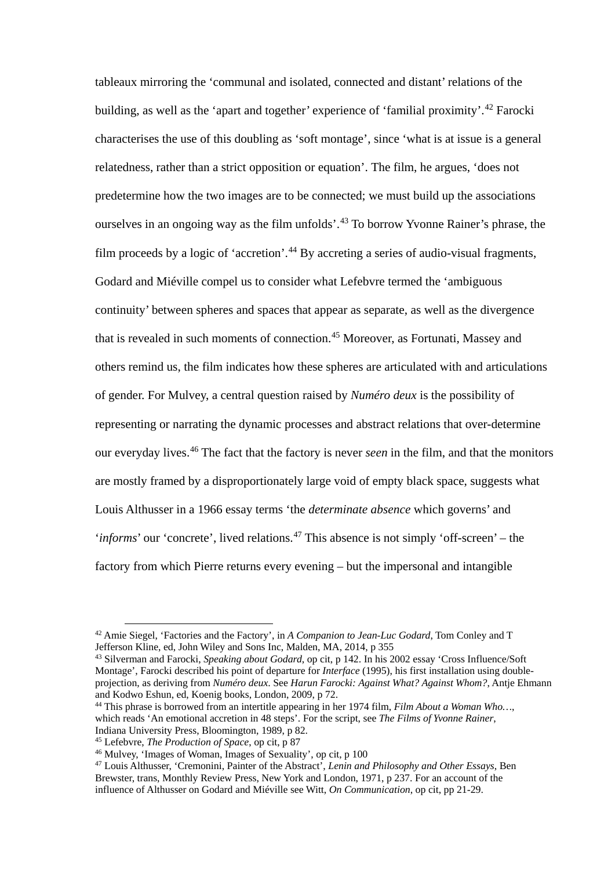tableaux mirroring the 'communal and isolated, connected and distant' relations of the building, as well as the 'apart and together' experience of 'familial proximity'.<sup>[42](#page-9-0)</sup> Farocki characterises the use of this doubling as 'soft montage', since 'what is at issue is a general relatedness, rather than a strict opposition or equation'. The film, he argues, 'does not predetermine how the two images are to be connected; we must build up the associations ourselves in an ongoing way as the film unfolds'.<sup>[43](#page-9-1)</sup> To borrow Yvonne Rainer's phrase, the film proceeds by a logic of 'accretion'.<sup>[44](#page-9-2)</sup> By accreting a series of audio-visual fragments, Godard and Miéville compel us to consider what Lefebvre termed the 'ambiguous continuity' between spheres and spaces that appear as separate, as well as the divergence that is revealed in such moments of connection. [45](#page-9-3) Moreover, as Fortunati, Massey and others remind us, the film indicates how these spheres are articulated with and articulations of gender. For Mulvey, a central question raised by *Numéro deux* is the possibility of representing or narrating the dynamic processes and abstract relations that over-determine our everyday lives. [46](#page-9-4) The fact that the factory is never *seen* in the film, and that the monitors are mostly framed by a disproportionately large void of empty black space, suggests what Louis Althusser in a 1966 essay terms 'the *determinate absence* which governs' and '*informs*' our 'concrete', lived relations.<sup>[47](#page-9-5)</sup> This absence is not simply 'off-screen' – the factory from which Pierre returns every evening – but the impersonal and intangible

<span id="page-9-0"></span> <sup>42</sup> Amie Siegel, 'Factories and the Factory', in *A Companion to Jean-Luc Godard*, Tom Conley and T Jefferson Kline, ed, John Wiley and Sons Inc, Malden, MA, 2014, p 355

<span id="page-9-1"></span><sup>43</sup> Silverman and Farocki, *Speaking about Godard*, op cit, p 142. In his 2002 essay 'Cross Influence/Soft Montage', Farocki described his point of departure for *Interface* (1995), his first installation using doubleprojection, as deriving from *Numéro deux*. See *Harun Farocki: Against What? Against Whom?*, Antje Ehmann and Kodwo Eshun, ed, Koenig books, London, 2009, p 72.

<span id="page-9-2"></span><sup>44</sup> This phrase is borrowed from an intertitle appearing in her 1974 film, *Film About a Woman Who…*, which reads 'An emotional accretion in 48 steps'. For the script, see *The Films of Yvonne Rainer*, Indiana University Press, Bloomington, 1989, p 82.

<span id="page-9-3"></span><sup>45</sup> Lefebvre, *The Production of Space*, op cit, p 87

<span id="page-9-4"></span><sup>46</sup> Mulvey, 'Images of Woman, Images of Sexuality', op cit, p 100

<span id="page-9-5"></span><sup>47</sup> Louis Althusser, 'Cremonini, Painter of the Abstract', *Lenin and Philosophy and Other Essays*, Ben Brewster, trans, Monthly Review Press, New York and London, 1971, p 237. For an account of the influence of Althusser on Godard and Miéville see Witt, *On Communication*, op cit, pp 21-29.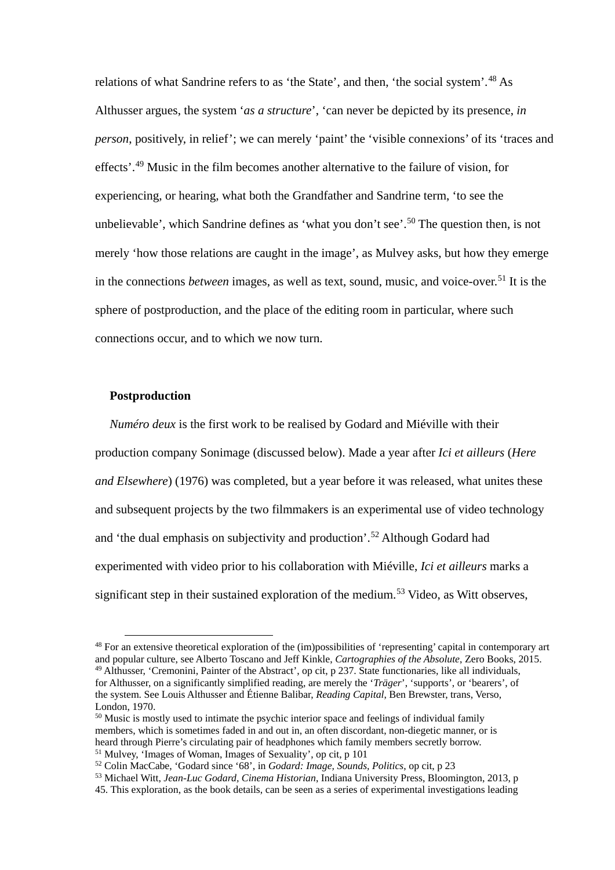relations of what Sandrine refers to as 'the State', and then, 'the social system'. [48](#page-10-0) As Althusser argues, the system '*as a structure*', 'can never be depicted by its presence, *in person*, positively, in relief'; we can merely 'paint' the 'visible connexions' of its 'traces and effects'. [49](#page-10-1) Music in the film becomes another alternative to the failure of vision, for experiencing, or hearing, what both the Grandfather and Sandrine term, 'to see the unbelievable', which Sandrine defines as 'what you don't see'.<sup>[50](#page-10-2)</sup> The question then, is not merely 'how those relations are caught in the image', as Mulvey asks, but how they emerge in the connections *between* images, as well as text, sound, music, and voice-over. [51](#page-10-3) It is the sphere of postproduction, and the place of the editing room in particular, where such connections occur, and to which we now turn.

### **Postproduction**

*Numéro deux* is the first work to be realised by Godard and Miéville with their production company Sonimage (discussed below). Made a year after *Ici et ailleurs* (*Here and Elsewhere*) (1976) was completed, but a year before it was released, what unites these and subsequent projects by the two filmmakers is an experimental use of video technology and 'the dual emphasis on subjectivity and production'.[52](#page-10-4) Although Godard had experimented with video prior to his collaboration with Miéville, *Ici et ailleurs* marks a significant step in their sustained exploration of the medium.<sup>[53](#page-10-5)</sup> Video, as Witt observes,

<span id="page-10-1"></span><span id="page-10-0"></span> <sup>48</sup> For an extensive theoretical exploration of the (im)possibilities of 'representing' capital in contemporary art and popular culture, see Alberto Toscano and Jeff Kinkle, *Cartographies of the Absolute*, Zero Books, 2015. <sup>49</sup> Althusser, 'Cremonini, Painter of the Abstract', op cit, p 237. State functionaries, like all individuals, for Althusser, on a significantly simplified reading, are merely the '*Träger*', 'supports', or 'bearers', of the system. See Louis Althusser and Étienne Balibar, *Reading Capital*, Ben Brewster, trans, Verso, London, 1970.

<span id="page-10-2"></span><sup>&</sup>lt;sup>50</sup> Music is mostly used to intimate the psychic interior space and feelings of individual family members, which is sometimes faded in and out in, an often discordant, non-diegetic manner, or is heard through Pierre's circulating pair of headphones which family members secretly borrow. <sup>51</sup> Mulvey, 'Images of Woman, Images of Sexuality', op cit, p 101

<span id="page-10-4"></span><span id="page-10-3"></span><sup>52</sup> Colin MacCabe, 'Godard since '68', in *Godard: Image, Sounds, Politics*, op cit, p 23

<span id="page-10-5"></span><sup>53</sup> Michael Witt, *Jean-Luc Godard, Cinema Historian*, Indiana University Press, Bloomington, 2013, p 45. This exploration, as the book details, can be seen as a series of experimental investigations leading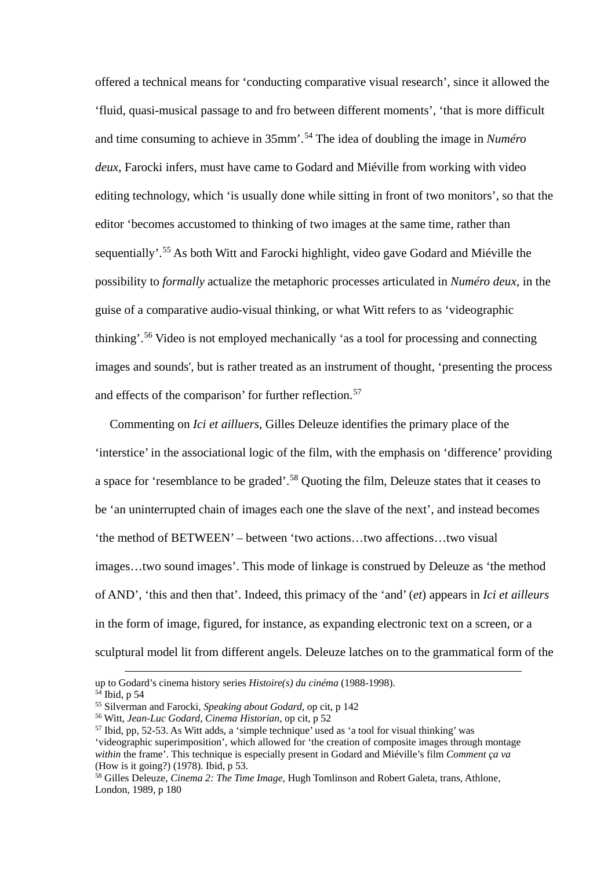offered a technical means for 'conducting comparative visual research', since it allowed the 'fluid, quasi-musical passage to and fro between different moments', 'that is more difficult and time consuming to achieve in 35mm'.[54](#page-11-0) The idea of doubling the image in *Numéro deux*, Farocki infers, must have came to Godard and Miéville from working with video editing technology, which 'is usually done while sitting in front of two monitors', so that the editor 'becomes accustomed to thinking of two images at the same time, rather than sequentially'.[55](#page-11-1) As both Witt and Farocki highlight, video gave Godard and Miéville the possibility to *formally* actualize the metaphoric processes articulated in *Numéro deux*, in the guise of a comparative audio-visual thinking, or what Witt refers to as 'videographic thinking'.[56](#page-11-2) Video is not employed mechanically 'as a tool for processing and connecting images and sounds', but is rather treated as an instrument of thought, 'presenting the process and effects of the comparison' for further reflection.<sup>[57](#page-11-3)</sup>

Commenting on *Ici et ailluers*, Gilles Deleuze identifies the primary place of the 'interstice' in the associational logic of the film, with the emphasis on 'difference' providing a space for 'resemblance to be graded'.[58](#page-11-4) Quoting the film, Deleuze states that it ceases to be 'an uninterrupted chain of images each one the slave of the next', and instead becomes 'the method of BETWEEN' – between 'two actions…two affections…two visual images…two sound images'. This mode of linkage is construed by Deleuze as 'the method of AND', 'this and then that'. Indeed, this primacy of the 'and' (*et*) appears in *Ici et ailleurs* in the form of image, figured, for instance, as expanding electronic text on a screen, or a sculptural model lit from different angels. Deleuze latches on to the grammatical form of the

up to Godard's cinema history series *Histoire(s) du cinéma* (1988-1998).

<span id="page-11-0"></span> $54$  Ibid, p 54

<span id="page-11-1"></span><sup>55</sup> Silverman and Farocki, *Speaking about Godard*, op cit, p 142

<span id="page-11-2"></span><sup>56</sup> Witt, *Jean-Luc Godard, Cinema Historian*, op cit, p 52

<span id="page-11-3"></span> $57$  Ibid, pp, 52-53. As Witt adds, a 'simple technique' used as 'a tool for visual thinking' was 'videographic superimposition', which allowed for 'the creation of composite images through montage *within* the frame'. This technique is especially present in Godard and Miéville's film *Comment ça va* (How is it going?) (1978). Ibid, p 53.

<span id="page-11-4"></span><sup>58</sup> Gilles Deleuze, *Cinema 2: The Time Image*, Hugh Tomlinson and Robert Galeta, trans, Athlone, London, 1989, p 180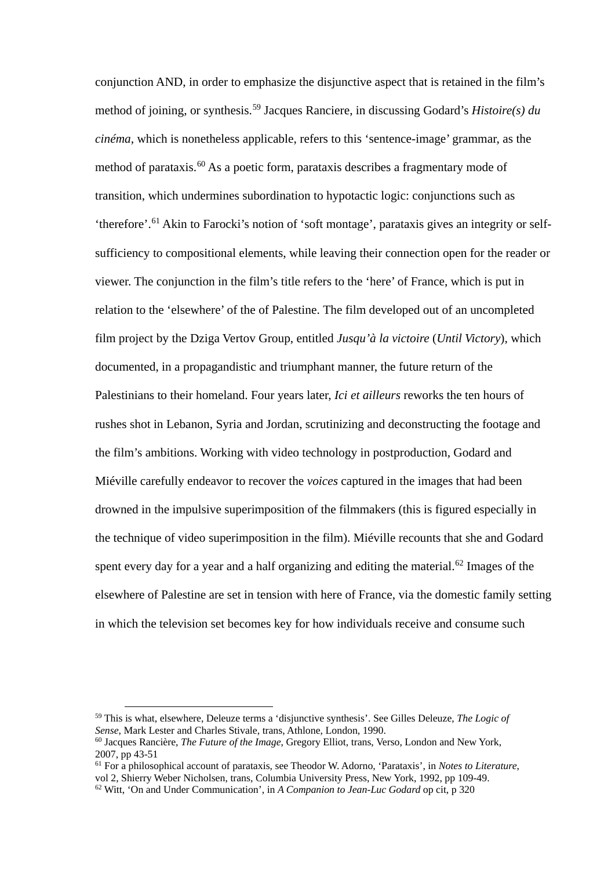conjunction AND, in order to emphasize the disjunctive aspect that is retained in the film's method of joining, or synthesis. [59](#page-12-0) Jacques Ranciere, in discussing Godard's *Histoire(s) du cinéma*, which is nonetheless applicable, refers to this 'sentence-image' grammar, as the method of parataxis.<sup>[60](#page-12-1)</sup> As a poetic form, parataxis describes a fragmentary mode of transition, which undermines subordination to hypotactic logic: conjunctions such as 'therefore'.[61](#page-12-2) Akin to Farocki's notion of 'soft montage', parataxis gives an integrity or selfsufficiency to compositional elements, while leaving their connection open for the reader or viewer. The conjunction in the film's title refers to the 'here' of France, which is put in relation to the 'elsewhere' of the of Palestine. The film developed out of an uncompleted film project by the Dziga Vertov Group, entitled *Jusqu'à la victoire* (*Until Victory*), which documented, in a propagandistic and triumphant manner, the future return of the Palestinians to their homeland. Four years later, *Ici et ailleurs* reworks the ten hours of rushes shot in Lebanon, Syria and Jordan, scrutinizing and deconstructing the footage and the film's ambitions. Working with video technology in postproduction, Godard and Miéville carefully endeavor to recover the *voices* captured in the images that had been drowned in the impulsive superimposition of the filmmakers (this is figured especially in the technique of video superimposition in the film). Miéville recounts that she and Godard spent every day for a year and a half organizing and editing the material.<sup>[62](#page-12-3)</sup> Images of the elsewhere of Palestine are set in tension with here of France, via the domestic family setting in which the television set becomes key for how individuals receive and consume such

<span id="page-12-0"></span> <sup>59</sup> This is what, elsewhere, Deleuze terms <sup>a</sup> 'disjunctive synthesis'. See Gilles Deleuze, *The Logic of Sense*, Mark Lester and Charles Stivale, trans, Athlone, London, 1990.

<span id="page-12-1"></span><sup>60</sup> Jacques Rancière, *The Future of the Image*, Gregory Elliot, trans, Verso, London and New York, 2007, pp 43-51

<span id="page-12-2"></span><sup>61</sup> For a philosophical account of parataxis, see Theodor W. Adorno, 'Parataxis', in *Notes to Literature*, vol 2, Shierry Weber Nicholsen, trans, Columbia University Press, New York, 1992, pp 109-49.

<span id="page-12-3"></span><sup>62</sup> Witt, 'On and Under Communication', in *A Companion to Jean-Luc Godard* op cit, p 320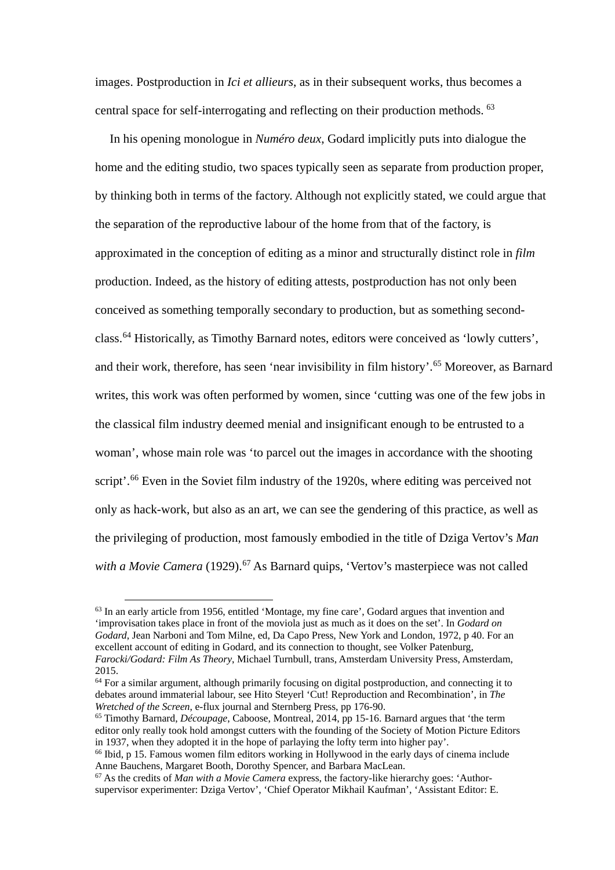images. Postproduction in *Ici et allieurs*, as in their subsequent works, thus becomes a central space for self-interrogating and reflecting on their production methods. [63](#page-13-0)

In his opening monologue in *Numéro deux*, Godard implicitly puts into dialogue the home and the editing studio, two spaces typically seen as separate from production proper, by thinking both in terms of the factory. Although not explicitly stated, we could argue that the separation of the reproductive labour of the home from that of the factory, is approximated in the conception of editing as a minor and structurally distinct role in *film* production. Indeed, as the history of editing attests, postproduction has not only been conceived as something temporally secondary to production, but as something secondclass. [64](#page-13-1) Historically, as Timothy Barnard notes, editors were conceived as 'lowly cutters', and their work, therefore, has seen 'near invisibility in film history'.<sup>[65](#page-13-2)</sup> Moreover, as Barnard writes, this work was often performed by women, since 'cutting was one of the few jobs in the classical film industry deemed menial and insignificant enough to be entrusted to a woman', whose main role was 'to parcel out the images in accordance with the shooting script'.<sup>[66](#page-13-3)</sup> Even in the Soviet film industry of the 1920s, where editing was perceived not only as hack-work, but also as an art, we can see the gendering of this practice, as well as the privileging of production, most famously embodied in the title of Dziga Vertov's *Man with a Movie Camera* (1929).<sup>[67](#page-13-4)</sup> As Barnard quips, 'Vertov's masterpiece was not called

<span id="page-13-0"></span> <sup>63</sup> In an early article from 1956, entitled 'Montage, my fine care', Godard argues that invention and 'improvisation takes place in front of the moviola just as much as it does on the set'. In *Godard on Godard*, Jean Narboni and Tom Milne, ed, Da Capo Press, New York and London, 1972, p 40. For an excellent account of editing in Godard, and its connection to thought, see Volker Patenburg, *Farocki/Godard: Film As Theory*, Michael Turnbull, trans, Amsterdam University Press, Amsterdam, 2015.

<span id="page-13-1"></span><sup>&</sup>lt;sup>64</sup> For a similar argument, although primarily focusing on digital postproduction, and connecting it to debates around immaterial labour, see Hito Steyerl 'Cut! Reproduction and Recombination', in *The Wretched of the Screen*, e-flux journal and Sternberg Press, pp 176-90.

<span id="page-13-2"></span><sup>65</sup> Timothy Barnard, *Découpage*, Caboose, Montreal, 2014, pp 15-16. Barnard argues that 'the term editor only really took hold amongst cutters with the founding of the Society of Motion Picture Editors in 1937, when they adopted it in the hope of parlaying the lofty term into higher pay'.

<span id="page-13-3"></span><sup>&</sup>lt;sup>66</sup> Ibid, p 15. Famous women film editors working in Hollywood in the early days of cinema include Anne Bauchens, Margaret Booth, Dorothy Spencer, and Barbara MacLean.

<span id="page-13-4"></span><sup>67</sup> As the credits of *Man with a Movie Camera* express, the factory-like hierarchy goes: 'Authorsupervisor experimenter: Dziga Vertov', 'Chief Operator Mikhail Kaufman', 'Assistant Editor: E.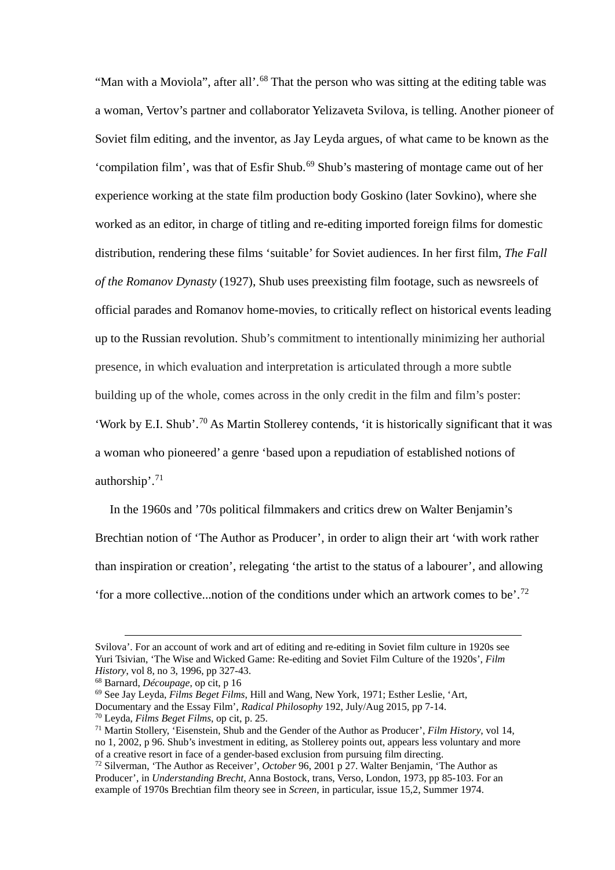"Man with a Moviola", after all'.<sup>[68](#page-14-0)</sup> That the person who was sitting at the editing table was a woman, Vertov's partner and collaborator Yelizaveta Svilova, is telling. Another pioneer of Soviet film editing, and the inventor, as Jay Leyda argues, of what came to be known as the 'compilation film', was that of Esfir Shub. [69](#page-14-1) Shub's mastering of montage came out of her experience working at the state film production body Goskino (later Sovkino), where she worked as an editor, in charge of titling and re-editing imported foreign films for domestic distribution, rendering these films 'suitable' for Soviet audiences. In her first film, *The Fall of the Romanov Dynasty* (1927), Shub uses preexisting film footage, such as newsreels of official parades and Romanov home-movies, to critically reflect on historical events leading up to the Russian revolution. Shub's commitment to intentionally minimizing her authorial presence, in which evaluation and interpretation is articulated through a more subtle building up of the whole, comes across in the only credit in the film and film's poster: 'Work by E.I. Shub'.[70](#page-14-2) As Martin Stollerey contends, 'it is historically significant that it was a woman who pioneered' a genre 'based upon a repudiation of established notions of authorship'. [71](#page-14-3)

In the 1960s and '70s political filmmakers and critics drew on Walter Benjamin's Brechtian notion of 'The Author as Producer', in order to align their art 'with work rather than inspiration or creation', relegating 'the artist to the status of a labourer', and allowing 'for a more collective...notion of the conditions under which an artwork comes to be'. [72](#page-14-4)

Svilova'. For an account of work and art of editing and re-editing in Soviet film culture in 1920s see Yuri Tsivian, 'The Wise and Wicked Game: Re-editing and Soviet Film Culture of the 1920s', *Film History*, vol 8, no 3, 1996, pp 327-43.

<span id="page-14-0"></span><sup>68</sup> Barnard, *Découpage*, op cit, p 16

<span id="page-14-1"></span><sup>69</sup> See Jay Leyda, *Films Beget Films*, Hill and Wang, New York, 1971; Esther Leslie, 'Art,

Documentary and the Essay Film', *Radical Philosophy* 192, July/Aug 2015, pp 7-14.

<span id="page-14-2"></span><sup>70</sup> Leyda, *Films Beget Films*, op cit, p. 25.

<span id="page-14-3"></span><sup>71</sup> Martin Stollery, 'Eisenstein, Shub and the Gender of the Author as Producer', *Film History*, vol 14, no 1, 2002, p 96. Shub's investment in editing, as Stollerey points out, appears less voluntary and more of a creative resort in face of a gender-based exclusion from pursuing film directing.

<span id="page-14-4"></span><sup>72</sup> Silverman, 'The Author as Receiver', *October* 96, 2001 p 27. Walter Benjamin, 'The Author as Producer', in *Understanding Brecht*, Anna Bostock, trans, Verso, London, 1973, pp 85-103. For an example of 1970s Brechtian film theory see in *Screen*, in particular, issue 15,2, Summer 1974.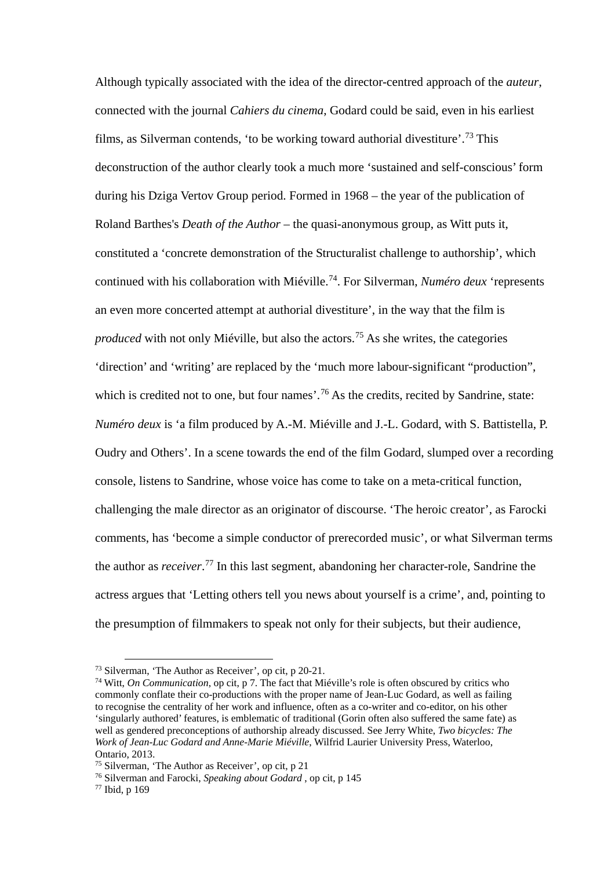Although typically associated with the idea of the director-centred approach of the *auteur*, connected with the journal *Cahiers du cinema*, Godard could be said, even in his earliest films, as Silverman contends, 'to be working toward authorial divestiture'.[73](#page-15-0) This deconstruction of the author clearly took a much more 'sustained and self-conscious' form during his Dziga Vertov Group period. Formed in 1968 – the year of the publication of Roland Barthes's *Death of the Author* – the quasi-anonymous group, as Witt puts it, constituted a 'concrete demonstration of the Structuralist challenge to authorship', which continued with his collaboration with Miéville. [74.](#page-15-1) For Silverman, *Numéro deux* 'represents an even more concerted attempt at authorial divestiture', in the way that the film is *produced* with not only Miéville, but also the actors.<sup>[75](#page-15-2)</sup> As she writes, the categories 'direction' and 'writing' are replaced by the 'much more labour-significant "production", which is credited not to one, but four names'.<sup>[76](#page-15-3)</sup> As the credits, recited by Sandrine, state: *Numéro deux* is 'a film produced by A.-M. Miéville and J.-L. Godard, with S. Battistella, P. Oudry and Others'. In a scene towards the end of the film Godard, slumped over a recording console, listens to Sandrine, whose voice has come to take on a meta-critical function, challenging the male director as an originator of discourse. 'The heroic creator', as Farocki comments, has 'become a simple conductor of prerecorded music', or what Silverman terms the author as *receiver*. [77](#page-15-4) In this last segment, abandoning her character-role, Sandrine the actress argues that 'Letting others tell you news about yourself is a crime', and, pointing to the presumption of filmmakers to speak not only for their subjects, but their audience,

<span id="page-15-0"></span> <sup>73</sup> Silverman, 'The Author as Receiver', op cit, <sup>p</sup> 20-21.

<span id="page-15-1"></span><sup>74</sup> Witt, *On Communication*, op cit, p 7. The fact that Miéville's role is often obscured by critics who commonly conflate their co-productions with the proper name of Jean-Luc Godard, as well as failing to recognise the centrality of her work and influence, often as a co-writer and co-editor, on his other 'singularly authored' features, is emblematic of traditional (Gorin often also suffered the same fate) as well as gendered preconceptions of authorship already discussed. See Jerry White, *Two bicycles: The Work of Jean-Luc Godard and Anne-Marie Miéville*, Wilfrid Laurier University Press, Waterloo, Ontario, 2013.

<span id="page-15-2"></span><sup>75</sup> Silverman, 'The Author as Receiver', op cit, p 21

<span id="page-15-3"></span><sup>76</sup> Silverman and Farocki, *Speaking about Godard* , op cit, p 145

<span id="page-15-4"></span><sup>77</sup> Ibid, p 169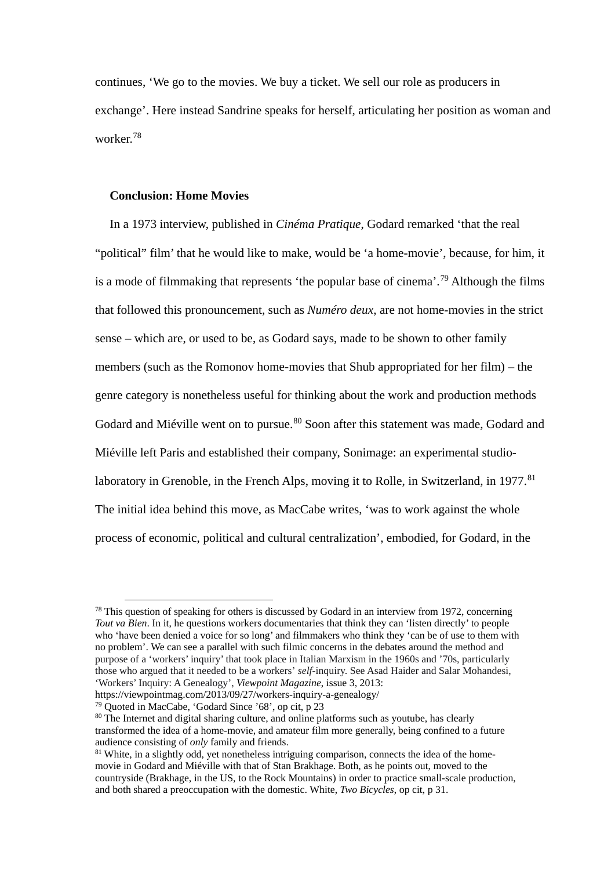continues, 'We go to the movies. We buy a ticket. We sell our role as producers in exchange'. Here instead Sandrine speaks for herself, articulating her position as woman and worker. [78](#page-16-0)

### **Conclusion: Home Movies**

In a 1973 interview, published in *Cinéma Pratique*, Godard remarked 'that the real "political" film' that he would like to make, would be 'a home-movie', because, for him, it is a mode of filmmaking that represents 'the popular base of cinema'. [79](#page-16-1) Although the films that followed this pronouncement, such as *Numéro deux*, are not home-movies in the strict sense – which are, or used to be, as Godard says, made to be shown to other family members (such as the Romonov home-movies that Shub appropriated for her film) – the genre category is nonetheless useful for thinking about the work and production methods Godard and Miéville went on to pursue.<sup>[80](#page-16-2)</sup> Soon after this statement was made, Godard and Miéville left Paris and established their company, Sonimage: an experimental studio-laboratory in Grenoble, in the French Alps, moving it to Rolle, in Switzerland, in 1977.<sup>[81](#page-16-3)</sup> The initial idea behind this move, as MacCabe writes, 'was to work against the whole process of economic, political and cultural centralization', embodied, for Godard, in the

<span id="page-16-0"></span> $78$  This question of speaking for others is discussed by Godard in an interview from 1972, concerning *Tout va Bien*. In it, he questions workers documentaries that think they can 'listen directly' to people who 'have been denied a voice for so long' and filmmakers who think they 'can be of use to them with no problem'. We can see a parallel with such filmic concerns in the debates around the method and purpose of a 'workers' inquiry' that took place in Italian Marxism in the 1960s and '70s, particularly those who argued that it needed to be a workers' *self*-inquiry. See Asad Haider and Salar Mohandesi, 'Workers' Inquiry: A Genealogy', *Viewpoint Magazine*, issue 3, 2013:

https://viewpointmag.com/2013/09/27/workers-inquiry-a-genealogy/

<span id="page-16-1"></span><sup>79</sup> Quoted in MacCabe, 'Godard Since '68', op cit, p 23

<span id="page-16-2"></span><sup>&</sup>lt;sup>80</sup> The Internet and digital sharing culture, and online platforms such as youtube, has clearly transformed the idea of a home-movie, and amateur film more generally, being confined to a future audience consisting of *only* family and friends.

<span id="page-16-3"></span><sup>&</sup>lt;sup>81</sup> White, in a slightly odd, yet nonetheless intriguing comparison, connects the idea of the homemovie in Godard and Miéville with that of Stan Brakhage. Both, as he points out, moved to the countryside (Brakhage, in the US, to the Rock Mountains) in order to practice small-scale production, and both shared a preoccupation with the domestic. White, *Two Bicycles*, op cit, p 31.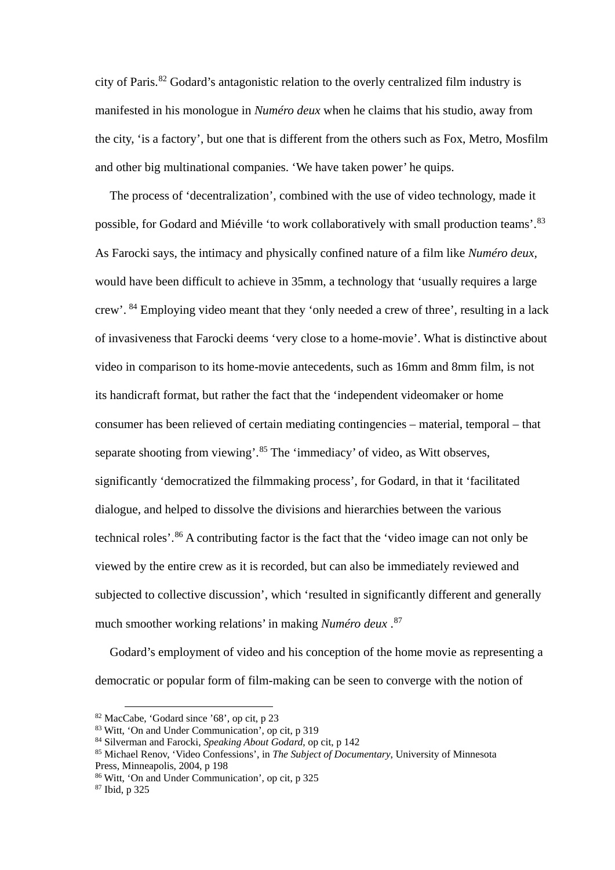city of Paris.[82](#page-17-0) Godard's antagonistic relation to the overly centralized film industry is manifested in his monologue in *Numéro deux* when he claims that his studio, away from the city, 'is a factory', but one that is different from the others such as Fox, Metro, Mosfilm and other big multinational companies. 'We have taken power' he quips.

The process of 'decentralization', combined with the use of video technology, made it possible, for Godard and Miéville 'to work collaboratively with small production teams'.<sup>[83](#page-17-1)</sup> As Farocki says, the intimacy and physically confined nature of a film like *Numéro deux,* would have been difficult to achieve in 35mm, a technology that 'usually requires a large crew'. [84](#page-17-2) Employing video meant that they 'only needed a crew of three', resulting in a lack of invasiveness that Farocki deems 'very close to a home-movie'. What is distinctive about video in comparison to its home-movie antecedents, such as 16mm and 8mm film, is not its handicraft format, but rather the fact that the 'independent videomaker or home consumer has been relieved of certain mediating contingencies – material, temporal – that separate shooting from viewing'.<sup>[85](#page-17-3)</sup> The 'immediacy' of video, as Witt observes, significantly 'democratized the filmmaking process', for Godard, in that it 'facilitated dialogue, and helped to dissolve the divisions and hierarchies between the various technical roles'.[86](#page-17-4) A contributing factor is the fact that the 'video image can not only be viewed by the entire crew as it is recorded, but can also be immediately reviewed and subjected to collective discussion', which 'resulted in significantly different and generally much smoother working relations' in making *Numéro deux* . [87](#page-17-5)

Godard's employment of video and his conception of the home movie as representing a democratic or popular form of film-making can be seen to converge with the notion of

<span id="page-17-0"></span> <sup>82</sup> MacCabe, 'Godard since '68', op cit, p 23

<sup>83</sup> Witt, 'On and Under Communication', op cit, p 319

<span id="page-17-3"></span><span id="page-17-2"></span><span id="page-17-1"></span><sup>84</sup> Silverman and Farocki, *Speaking About Godard*, op cit, p 142

<sup>85</sup> Michael Renov, 'Video Confessions', in *The Subject of Documentary*, University of Minnesota Press, Minneapolis, 2004, p 198

<span id="page-17-4"></span><sup>86</sup> Witt, 'On and Under Communication', op cit, p 325

<span id="page-17-5"></span><sup>87</sup> Ibid, p 325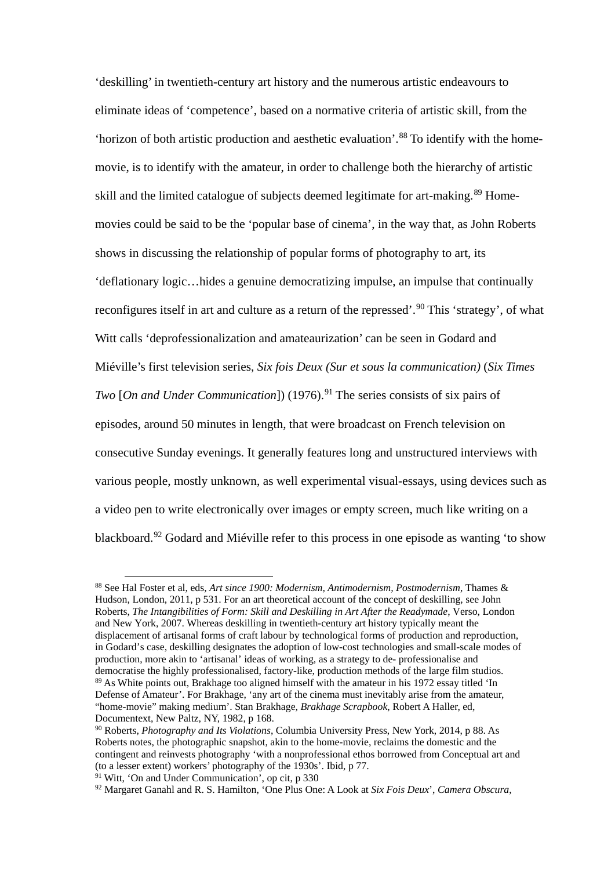'deskilling' in twentieth-century art history and the numerous artistic endeavours to eliminate ideas of 'competence', based on a normative criteria of artistic skill, from the 'horizon of both artistic production and aesthetic evaluation'. [88](#page-18-0) To identify with the homemovie, is to identify with the amateur, in order to challenge both the hierarchy of artistic skill and the limited catalogue of subjects deemed legitimate for art-making.<sup>[89](#page-18-1)</sup> Homemovies could be said to be the 'popular base of cinema', in the way that, as John Roberts shows in discussing the relationship of popular forms of photography to art, its 'deflationary logic…hides a genuine democratizing impulse, an impulse that continually reconfigures itself in art and culture as a return of the repressed'.<sup>[90](#page-18-2)</sup> This 'strategy', of what Witt calls 'deprofessionalization and amateaurization' can be seen in Godard and Miéville's first television series, *Six fois Deux (Sur et sous la communication)* (*Six Times Two* [*On and Under Communication*]) (1976). [91](#page-18-3) The series consists of six pairs of episodes, around 50 minutes in length, that were broadcast on French television on consecutive Sunday evenings. It generally features long and unstructured interviews with various people, mostly unknown, as well experimental visual-essays, using devices such as a video pen to write electronically over images or empty screen, much like writing on a blackboard.<sup>[92](#page-18-4)</sup> Godard and Miéville refer to this process in one episode as wanting 'to show

<span id="page-18-0"></span> <sup>88</sup> See Hal Foster et al, eds, *Art since 1900: Modernism, Antimodernism, Postmodernism*, Thames & Hudson, London, 2011, p 531. For an art theoretical account of the concept of deskilling, see John Roberts, *The Intangibilities of Form: Skill and Deskilling in Art After the Readymade*, Verso, London and New York, 2007. Whereas deskilling in twentieth-century art history typically meant the displacement of artisanal forms of craft labour by technological forms of production and reproduction, in Godard's case, deskilling designates the adoption of low-cost technologies and small-scale modes of production, more akin to 'artisanal' ideas of working, as a strategy to de- professionalise and democratise the highly professionalised, factory-like, production methods of the large film studios. <sup>89</sup> As White points out, Brakhage too aligned himself with the amateur in his 1972 essay titled 'In Defense of Amateur'. For Brakhage, 'any art of the cinema must inevitably arise from the amateur, "home-movie" making medium'. Stan Brakhage, *Brakhage Scrapbook*, Robert A Haller, ed, Documentext, New Paltz, NY, 1982, p 168.

<span id="page-18-2"></span><span id="page-18-1"></span><sup>90</sup> Roberts, *Photography and Its Violations*, Columbia University Press, New York, 2014, p 88. As Roberts notes, the photographic snapshot, akin to the home-movie, reclaims the domestic and the contingent and reinvests photography 'with a nonprofessional ethos borrowed from Conceptual art and (to a lesser extent) workers' photography of the 1930s'. Ibid, p 77.

<span id="page-18-3"></span><sup>&</sup>lt;sup>91</sup> Witt, 'On and Under Communication', op cit, p 330

<span id="page-18-4"></span><sup>92</sup> Margaret Ganahl and R. S. Hamilton, 'One Plus One: A Look at *Six Fois Deux*', *Camera Obscura*,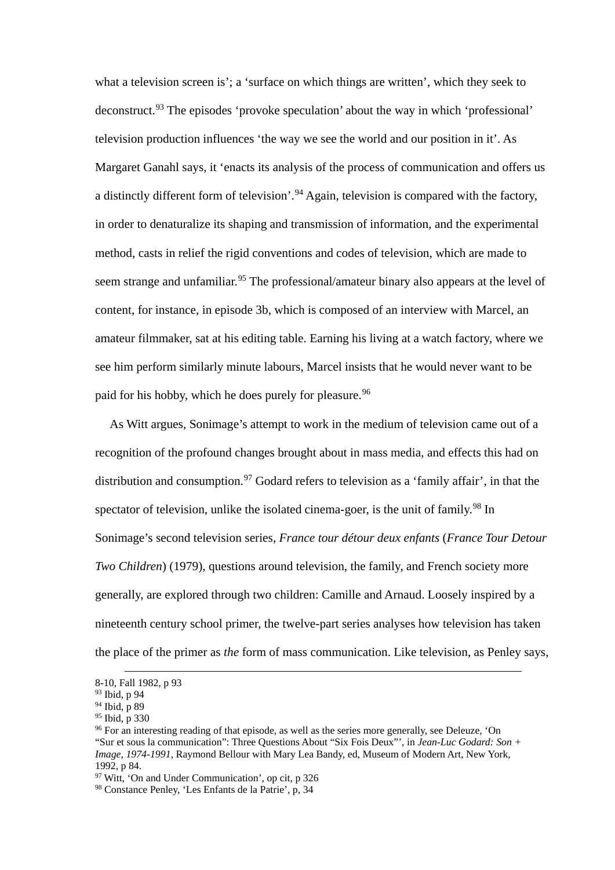what a television screen is'; a 'surface on which things are written', which they seek to deconstruct.<sup>[93](#page-19-0)</sup> The episodes 'provoke speculation' about the way in which 'professional' television production influences 'the way we see the world and our position in it'. As Margaret Ganahl says, it 'enacts its analysis of the process of communication and offers us a distinctly different form of television'.<sup>[94](#page-19-1)</sup> Again, television is compared with the factory, in order to denaturalize its shaping and transmission of information, and the experimental method, casts in relief the rigid conventions and codes of television, which are made to seem strange and unfamiliar.<sup>[95](#page-19-2)</sup> The professional/amateur binary also appears at the level of content, for instance, in episode 3b, which is composed of an interview with Marcel, an amateur filmmaker, sat at his editing table. Earning his living at a watch factory, where we see him perform similarly minute labours, Marcel insists that he would never want to be paid for his hobby, which he does purely for pleasure.<sup>[96](#page-19-3)</sup>

As Witt argues, Sonimage's attempt to work in the medium of television came out of a recognition of the profound changes brought about in mass media, and effects this had on distribution and consumption.<sup>[97](#page-19-4)</sup> Godard refers to television as a 'family affair', in that the spectator of television, unlike the isolated cinema-goer, is the unit of family.<sup>[98](#page-19-5)</sup> In Sonimage's second television series, *France tour détour deux enfants* (*France Tour Detour Two Children*) (1979), questions around television, the family, and French society more generally, are explored through two children: Camille and Arnaud. Loosely inspired by a nineteenth century school primer, the twelve-part series analyses how television has taken the place of the primer as *the* form of mass communication. Like television, as Penley says,

 <sup>8-10,</sup> Fall 1982, p 93

<sup>93</sup> Ibid, p 94

<span id="page-19-1"></span><span id="page-19-0"></span><sup>94</sup> Ibid, p 89

<span id="page-19-3"></span><span id="page-19-2"></span><sup>95</sup> Ibid, p 330

<sup>96</sup> For an interesting reading of that episode, as well as the series more generally, see Deleuze, 'On "Sur et sous la communication": Three Questions About "Six Fois Deux"', in *Jean-Luc Godard: Son + Image, 1974-1991*, Raymond Bellour with Mary Lea Bandy, ed, Museum of Modern Art, New York, 1992, p 84.

<span id="page-19-4"></span><sup>97</sup> Witt, 'On and Under Communication', op cit, p 326

<span id="page-19-5"></span><sup>98</sup> Constance Penley, 'Les Enfants de la Patrie', p, 34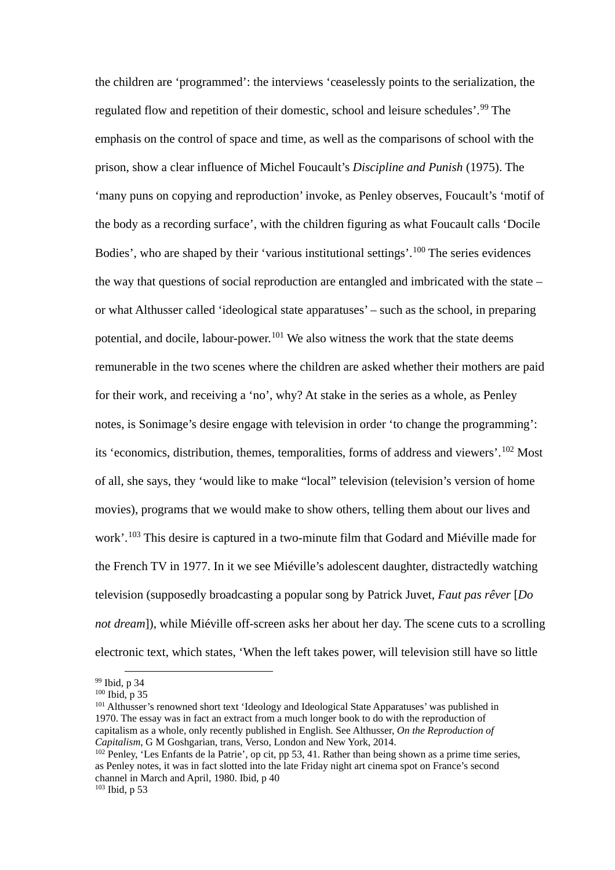the children are 'programmed': the interviews 'ceaselessly points to the serialization, the regulated flow and repetition of their domestic, school and leisure schedules'.[99](#page-20-0) The emphasis on the control of space and time, as well as the comparisons of school with the prison, show a clear influence of Michel Foucault's *Discipline and Punish* (1975). The 'many puns on copying and reproduction' invoke, as Penley observes, Foucault's 'motif of the body as a recording surface', with the children figuring as what Foucault calls 'Docile Bodies', who are shaped by their 'various institutional settings'.<sup>[100](#page-20-1)</sup> The series evidences the way that questions of social reproduction are entangled and imbricated with the state – or what Althusser called 'ideological state apparatuses' – such as the school, in preparing potential, and docile, labour-power.<sup>[101](#page-20-2)</sup> We also witness the work that the state deems remunerable in the two scenes where the children are asked whether their mothers are paid for their work, and receiving a 'no', why? At stake in the series as a whole, as Penley notes, is Sonimage's desire engage with television in order 'to change the programming': its 'economics, distribution, themes, temporalities, forms of address and viewers'.[102](#page-20-3) Most of all, she says, they 'would like to make "local" television (television's version of home movies), programs that we would make to show others, telling them about our lives and work'. [103](#page-20-4) This desire is captured in a two-minute film that Godard and Miéville made for the French TV in 1977. In it we see Miéville's adolescent daughter, distractedly watching television (supposedly broadcasting a popular song by Patrick Juvet, *Faut pas rêver* [*Do not dream*]), while Miéville off-screen asks her about her day. The scene cuts to a scrolling electronic text, which states, 'When the left takes power, will television still have so little

<span id="page-20-0"></span> <sup>99</sup> Ibid, p 34

<span id="page-20-1"></span> $100$  Ibid, p 35

<span id="page-20-2"></span><sup>&</sup>lt;sup>101</sup> Althusser's renowned short text 'Ideology and Ideological State Apparatuses' was published in 1970. The essay was in fact an extract from a much longer book to do with the reproduction of capitalism as a whole, only recently published in English. See Althusser, *On the Reproduction of* 

<span id="page-20-4"></span><span id="page-20-3"></span><sup>&</sup>lt;sup>102</sup> Penley, 'Les Enfants de la Patrie', op cit, pp 53, 41. Rather than being shown as a prime time series, as Penley notes, it was in fact slotted into the late Friday night art cinema spot on France's second channel in March and April, 1980. Ibid, p 40 <sup>103</sup> Ibid, p 53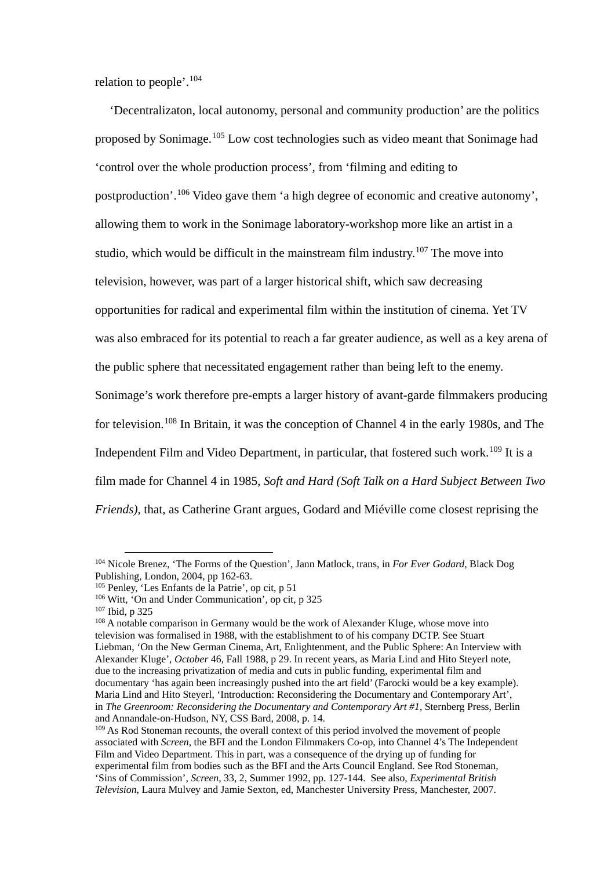relation to people'.[104](#page-21-0)

'Decentralizaton, local autonomy, personal and community production' are the politics proposed by Sonimage.<sup>[105](#page-21-1)</sup> Low cost technologies such as video meant that Sonimage had 'control over the whole production process', from 'filming and editing to postproduction'.<sup>[106](#page-21-2)</sup> Video gave them 'a high degree of economic and creative autonomy', allowing them to work in the Sonimage laboratory-workshop more like an artist in a studio, which would be difficult in the mainstream film industry.<sup>[107](#page-21-3)</sup> The move into television, however, was part of a larger historical shift, which saw decreasing opportunities for radical and experimental film within the institution of cinema. Yet TV was also embraced for its potential to reach a far greater audience, as well as a key arena of the public sphere that necessitated engagement rather than being left to the enemy. Sonimage's work therefore pre-empts a larger history of avant-garde filmmakers producing for television.<sup>[108](#page-21-4)</sup> In Britain, it was the conception of Channel 4 in the early 1980s, and The Independent Film and Video Department, in particular, that fostered such work.<sup>[109](#page-21-5)</sup> It is a film made for Channel 4 in 1985, *Soft and Hard (Soft Talk on a Hard Subject Between Two Friends)*, that, as Catherine Grant argues, Godard and Miéville come closest reprising the

<span id="page-21-0"></span> <sup>104</sup> Nicole Brenez, 'The Forms of the Question', Jann Matlock, trans, in *For Ever Godard*, Black Dog Publishing, London, 2004, pp 162-63.

<span id="page-21-1"></span><sup>105</sup> Penley, 'Les Enfants de la Patrie', op cit, p 51

<span id="page-21-2"></span><sup>106</sup> Witt, 'On and Under Communication', op cit, p 325

<span id="page-21-3"></span><sup>107</sup> Ibid, p 325

<span id="page-21-4"></span><sup>&</sup>lt;sup>108</sup> A notable comparison in Germany would be the work of Alexander Kluge, whose move into television was formalised in 1988, with the establishment to of his company DCTP. See Stuart Liebman, 'On the New German Cinema, Art, Enlightenment, and the Public Sphere: An Interview with Alexander Kluge', *October* 46, Fall 1988, p 29. In recent years, as Maria Lind and Hito Steyerl note, due to the increasing privatization of media and cuts in public funding, experimental film and documentary 'has again been increasingly pushed into the art field' (Farocki would be a key example). Maria Lind and Hito Steyerl, 'Introduction: Reconsidering the Documentary and Contemporary Art', in *The Greenroom: Reconsidering the Documentary and Contemporary Art #1*, Sternberg Press, Berlin and Annandale-on-Hudson, NY, CSS Bard, 2008, p. 14.

<span id="page-21-5"></span><sup>&</sup>lt;sup>109</sup> As Rod Stoneman recounts, the overall context of this period involved the movement of people associated with *Screen*, the BFI and the London Filmmakers Co-op, into Channel 4's The Independent Film and Video Department. This in part, was a consequence of the drying up of funding for experimental film from bodies such as the BFI and the Arts Council England. See Rod Stoneman, 'Sins of Commission', *Screen*, 33, 2, Summer 1992, pp. 127-144. See also, *Experimental British Television*, Laura Mulvey and Jamie Sexton, ed, Manchester University Press, Manchester, 2007.